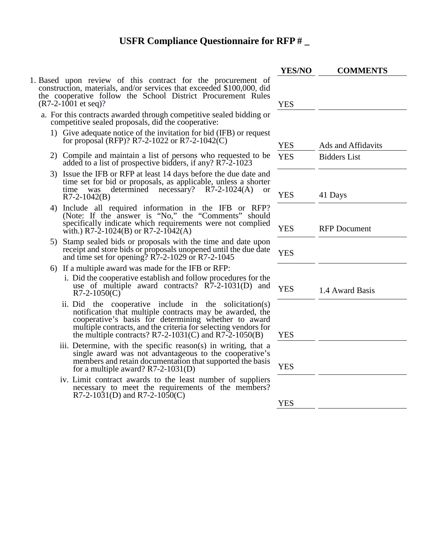- 1. Based upon review of this contract for the procurement of construction, materials, and/or services that exceeded \$100,000, did the cooperative follow the School District Procurement Rules  $(R7-2-1001$  et seq)?
	- a. For this contracts awarded through competitive sealed bidding or competitive sealed proposals, did the cooperative:
		- 1) Give adequate notice of the invitation for bid (IFB) or request for proposal (RFP)? R7-2-1022 or R7-2-1042(C)  $YES$  Ads and Affidavits
		- 2) Compile and maintain a list of persons who requested to be added to a list of prospective bidders, if any? R7-2-1023
		- 3) Issue the IFB or RFP at least 14 days before the due date and time set for bid or proposals, as applicable, unless a shorter<br>time was determined necessary? R7-2-1024(A) or determined necessary?  $R7-2-1024(A)$  or  $R7-2-1042(B)$
		- 4) Include all required information in the IFB or RFP? (Note: If the answer is "No," the "Comments" should specifically indicate which requirements were not complied with.) R7-2-1024(B) or R7-2-1042(A)
		- 5) Stamp sealed bids or proposals with the time and date upon receipt and store bids or proposals unopened until the due date and time set for opening?  $R7-2-1029$  or  $R7-2-1045$
		- 6) If a multiple award was made for the IFB or RFP:
			- i. Did the cooperative establish and follow procedures for the use of multiple award contracts?  $R7-2-1031(D)$  and  $YES$  1.4 Award Basis 1.4 Award Basis
			- ii. Did the cooperative include in the solicitation(s) notification that multiple contracts may be awarded, the cooperative's basis for determining whether to award multiple contracts, and the criteria for selecting vendors for the multiple contracts?  $R7-2-1031(C)$  and  $R7-2-1050(B)$
			- iii. Determine, with the specific reason(s) in writing, that a single award was not advantageous to the cooperative's members and retain documentation that supported the basis for a multiple award?  $R7-2-1031(D)$
			- iv. Limit contract awards to the least number of suppliers necessary to meet the requirements of the members' R7-2-1031(D) and R7-2-1050(C)

|            | <b>COMMENTS</b>     |
|------------|---------------------|
|            |                     |
| <b>YES</b> |                     |
|            |                     |
|            |                     |
| <b>YES</b> | Ads and Affidavits  |
| <b>YES</b> | <b>Bidders</b> List |
|            |                     |
| <b>YES</b> | 41 Days             |
|            |                     |
|            |                     |
| <b>YES</b> | <b>RFP</b> Document |
| <b>YES</b> |                     |
|            |                     |
|            |                     |
| <b>YES</b> | 1.4 Award Basis     |
|            |                     |
|            |                     |
| <b>YES</b> |                     |
|            |                     |
|            |                     |
|            |                     |
| <b>YES</b> |                     |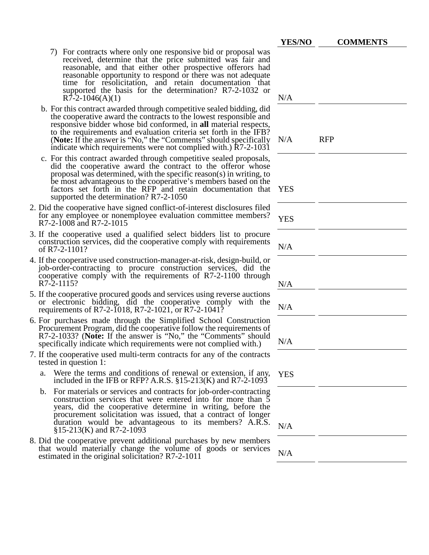| 7) For contracts where only one responsive bid or proposal was<br>received, determine that the price submitted was fair and<br>reasonable, and that either other prospective offerors had<br>reasonable opportunity to respond or there was not adequate<br>time for resolicitation, and retain documentation that<br>supported the basis for the determination? R7-2-1032 or<br>N/A<br>$R\bar{7}$ -2-1046(A)(1)<br>b. For this contract awarded through competitive sealed bidding, did<br>the cooperative award the contracts to the lowest responsible and<br>responsive bidder whose bid conformed, in all material respects,<br>to the requirements and evaluation criteria set forth in the IFB?<br>(Note: If the answer is "No," the "Comments" should specifically<br><b>RFP</b><br>N/A<br>indicate which requirements were not complied with.) R7-2-1031<br>c. For this contract awarded through competitive sealed proposals,<br>did the cooperative award the contract to the offeror whose<br>proposal was determined, with the specific reason(s) in writing, to<br>be most advantageous to the cooperative's members based on the<br>factors set forth in the RFP and retain documentation that<br><b>YES</b><br>supported the determination? R7-2-1050<br>2. Did the cooperative have signed conflict-of-interest disclosures filed<br>for any employee or nonemployee evaluation committee members?<br><b>YES</b><br>R7-2-1008 and R7-2-1015<br>3. If the cooperative used a qualified select bidders list to procure<br>construction services, did the cooperative comply with requirements<br>N/A<br>of R7-2-1101? | <b>YES/NO</b> | <b>COMMENTS</b> |
|--------------------------------------------------------------------------------------------------------------------------------------------------------------------------------------------------------------------------------------------------------------------------------------------------------------------------------------------------------------------------------------------------------------------------------------------------------------------------------------------------------------------------------------------------------------------------------------------------------------------------------------------------------------------------------------------------------------------------------------------------------------------------------------------------------------------------------------------------------------------------------------------------------------------------------------------------------------------------------------------------------------------------------------------------------------------------------------------------------------------------------------------------------------------------------------------------------------------------------------------------------------------------------------------------------------------------------------------------------------------------------------------------------------------------------------------------------------------------------------------------------------------------------------------------------------------------------------------------------------------------------------|---------------|-----------------|
|                                                                                                                                                                                                                                                                                                                                                                                                                                                                                                                                                                                                                                                                                                                                                                                                                                                                                                                                                                                                                                                                                                                                                                                                                                                                                                                                                                                                                                                                                                                                                                                                                                      |               |                 |
|                                                                                                                                                                                                                                                                                                                                                                                                                                                                                                                                                                                                                                                                                                                                                                                                                                                                                                                                                                                                                                                                                                                                                                                                                                                                                                                                                                                                                                                                                                                                                                                                                                      |               |                 |
|                                                                                                                                                                                                                                                                                                                                                                                                                                                                                                                                                                                                                                                                                                                                                                                                                                                                                                                                                                                                                                                                                                                                                                                                                                                                                                                                                                                                                                                                                                                                                                                                                                      |               |                 |
|                                                                                                                                                                                                                                                                                                                                                                                                                                                                                                                                                                                                                                                                                                                                                                                                                                                                                                                                                                                                                                                                                                                                                                                                                                                                                                                                                                                                                                                                                                                                                                                                                                      |               |                 |
|                                                                                                                                                                                                                                                                                                                                                                                                                                                                                                                                                                                                                                                                                                                                                                                                                                                                                                                                                                                                                                                                                                                                                                                                                                                                                                                                                                                                                                                                                                                                                                                                                                      |               |                 |
| 4. If the cooperative used construction-manager-at-risk, design-build, or<br>job-order-contracting to procure construction services, did the<br>cooperative comply with the requirements of R7-2-1100 through<br>R7-2-1115?<br>N/A                                                                                                                                                                                                                                                                                                                                                                                                                                                                                                                                                                                                                                                                                                                                                                                                                                                                                                                                                                                                                                                                                                                                                                                                                                                                                                                                                                                                   |               |                 |
| 5. If the cooperative procured goods and services using reverse auctions<br>or electronic bidding, did the cooperative comply with the<br>N/A<br>requirements of R7-2-1018, R7-2-1021, or R7-2-1041?                                                                                                                                                                                                                                                                                                                                                                                                                                                                                                                                                                                                                                                                                                                                                                                                                                                                                                                                                                                                                                                                                                                                                                                                                                                                                                                                                                                                                                 |               |                 |
| 6. For purchases made through the Simplified School Construction<br>Procurement Program, did the cooperative follow the requirements of<br>R7-2-1033? (Note: If the answer is "No," the "Comments" should<br>N/A<br>specifically indicate which requirements were not complied with.)                                                                                                                                                                                                                                                                                                                                                                                                                                                                                                                                                                                                                                                                                                                                                                                                                                                                                                                                                                                                                                                                                                                                                                                                                                                                                                                                                |               |                 |
| 7. If the cooperative used multi-term contracts for any of the contracts<br>tested in question 1:                                                                                                                                                                                                                                                                                                                                                                                                                                                                                                                                                                                                                                                                                                                                                                                                                                                                                                                                                                                                                                                                                                                                                                                                                                                                                                                                                                                                                                                                                                                                    |               |                 |
| Were the terms and conditions of renewal or extension, if any,<br>a.<br><b>YES</b><br>included in the IFB or RFP? A.R.S. $\S 15-213(K)$ and R7-2-1093                                                                                                                                                                                                                                                                                                                                                                                                                                                                                                                                                                                                                                                                                                                                                                                                                                                                                                                                                                                                                                                                                                                                                                                                                                                                                                                                                                                                                                                                                |               |                 |
| For materials or services and contracts for job-order-contracting<br>b.<br>construction services that were entered into for more than 5<br>years, did the cooperative determine in writing, before the<br>procurement solicitation was issued, that a contract of longer<br>duration would be advantageous to its members? A.R.S.<br>N/A<br>$§15-213(K)$ and R7-2-1093                                                                                                                                                                                                                                                                                                                                                                                                                                                                                                                                                                                                                                                                                                                                                                                                                                                                                                                                                                                                                                                                                                                                                                                                                                                               |               |                 |
| 8. Did the cooperative prevent additional purchases by new members<br>that would materially change the volume of goods or services<br>N/A<br>estimated in the original solicitation? R7-2-1011                                                                                                                                                                                                                                                                                                                                                                                                                                                                                                                                                                                                                                                                                                                                                                                                                                                                                                                                                                                                                                                                                                                                                                                                                                                                                                                                                                                                                                       |               |                 |